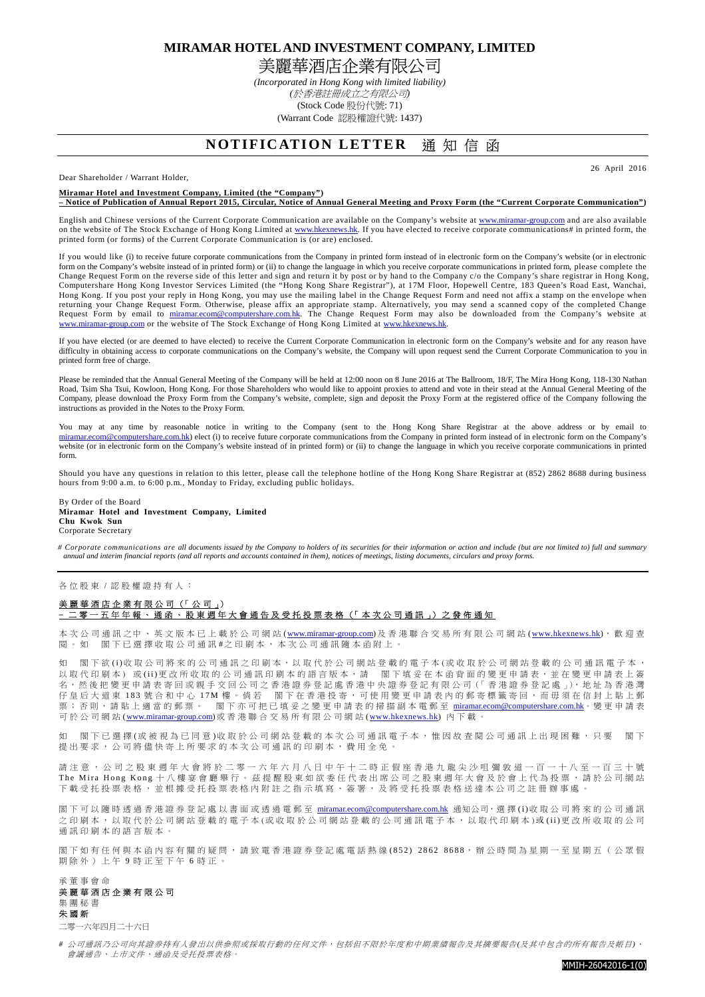**MIRAMAR HOTEL AND INVESTMENT COMPANY, LIMITED**  美麗華酒店企業有限公司

> *(Incorporated in Hong Kong with limited liability) (*於香港註冊成立之有限公司*)*  (Stock Code 股份代號: 71) (Warrant Code 認股權證代號: 1437)

## **NOTIFICATION LETTER 通知信函**

Dear Shareholder / Warrant Holder,

**Miramar Hotel and Investment Company, Limited (the "Company")** 

**– Notice of Publication of Annual Report 2015, Circular, Notice of Annual General Meeting and Proxy Form (the "Current Corporate Communication")** 

English and Chinese versions of the Current Corporate Communication are available on the Company's website at www.miramar-group.com and are also available on the website of The Stock Exchange of Hong Kong Limited at www.hkexnews.hk. If you have elected to receive corporate communications# in printed form, the printed form (or forms) of the Current Corporate Communication is (or are) enclosed.

If you would like (i) to receive future corporate communications from the Company in printed form instead of in electronic form on the Company's website (or in electronic form on the Company's website instead of in printed form) or (ii) to change the language in which you receive corporate communications in printed form, please complete the Change Request Form on the reverse side of this letter and sign and return it by post or by hand to the Company c/o the Company's share registrar in Hong Kong, Computershare Hong Kong Investor Services Limited (the "Hong Kong Share Registrar"), at 17M Floor, Hopewell Centre, 183 Queen's Road East, Wanchai, Hong Kong. If you post your reply in Hong Kong, you may use the mailing label in the Change Request Form and need not affix a stamp on the envelope when returning your Change Request Form. Otherwise, please affix an appropriate stamp. Alternatively, you may send a scanned copy of the completed Change Request Form by email to miramar.ecom@computershare.com.hk. The Change Request Form may also be downloaded from the Company's website at com or the website of The Stock Exchange of Hong Kong Limited at www.hk

If you have elected (or are deemed to have elected) to receive the Current Corporate Communication in electronic form on the Company's website and for any reason have difficulty in obtaining access to corporate communications on the Company's website, the Company will upon request send the Current Corporate Communication to you in printed form free of charge.

Please be reminded that the Annual General Meeting of the Company will be held at 12:00 noon on 8 June 2016 at The Ballroom, 18/F, The Mira Hong Kong, 118-130 Nathan Road, Tsim Sha Tsui, Kowloon, Hong Kong. For those Shareholders who would like to appoint proxies to attend and vote in their stead at the Annual General Meeting of the Company, please download the Proxy Form from the Company's website, complete, sign and deposit the Proxy Form at the registered office of the Company following the instructions as provided in the Notes to the Proxy Form.

You may at any time by reasonable notice in writing to the Company (sent to the Hong Kong Share Registrar at the above address or by email to miraman.ecom@computershare.com.hk) elect (i) to receive future corporate communi com@computershare.com.hk) elect (i) to receive future corporate communications from the Company in printed form instead of in electronic form on the Company's website (or in electronic form on the Company's website instead of in printed form) or (ii) to change the language in which you receive corporate communications in printed form.

Should you have any questions in relation to this letter, please call the telephone hotline of the Hong Kong Share Registrar at (852) 2862 8688 during business hours from 9:00 a.m. to 6:00 p.m., Monday to Friday, excluding public holidays.

By Order of the Board **Miramar Hotel and Investment Company, Limited Chu Kwok Sun**  Corporate Secretary

*# Corporate communications are all documents issued by the Company to holders of its securities for their information or action and include (but are not limited to) full and summary annual and interim financial reports (and all reports and accounts contained in them), notices of meetings, listing documents, circulars and proxy forms.* 

## 各位股東 / 認股權證持有人: 美麗華酒店企業有限公司 (「公司」) **–** 二 零 一 五 年 年 報 、 通 函 、 股 東 週 年 大 會 通 告 及 受 托 投 票 表 格 (「 本 次 公 司 通 訊 」) 之 發 佈 通 知

本 次 公 司 通 訊 之中、 英 文 版 本 已 上 載 於 公 司 網 站 (www.miramar-group.com) 及 香 港 聯 合 交 易 所 有 限 公 司 網 站 (www.hkexnews.hk), 歡 迎 查 関。如 閣下已選擇收取公司通訊#之印刷本,本次公司通訊隨本函附上。

如 閣下欲(i)收取公司將來的公司通訊之印刷本,以取代於公司網站登載的電子本(或收取於公司網站登載的公司通訊電子本, 以 取 代 印 刷 本) 或 (ii)更 改 所 收 取 的 公 司 通 訊 印 刷 本 的 語 言 版 本 , 請 。 閣 下 填 妥 在 本 函 背 面 的 變 更 申 請 表 小 遊 在 變 更 申 請 表 上 簽 名,然後把變更申請表寄回或親手交回公司之香港證券登記處香港中央證券登記有限公司(「香港證券登記處」),地址為香港灣 □ 無 無 水 1 83 號 合 和 中 心 17M 樓 。倘 若 一閣下 在 香 港 投 寄 , 可 使 用 變 更 申 請 表 內 的 郵 寄 標 簽 寄 回 , 而 毋 須 在 信 封 上 貼 上 郵<br>仔 皇 后 大 道 東 183 號 合 和 中 心 17M 樓 。倘 若 一閣下 在 香 港 投 寄 , 可 使 用 變 更 申 請 表 內 的 郵 寄 標 籤 否 回 , 而 毌 須 在 信 封 上 貼 上 郵 票;否則,請貼上適當的郵票。 閣下亦可把已填妥之變更申請表的掃描副本電郵至 miramar.ecom@computershare.com.hk。 變更申請表 可於公司網站(www.miramar-group.com)或香港聯合交易所有限公司網站(www.hkexnews.hk) 內下載。

如 閣下已選擇(或被視為已同意)收取於公司網站登載的本次公司通訊電子本,惟因故查閱公司通訊上出現困難,只要 閣下 提出要求, 公司將儘快寄上所要求的本次公司通訊的印刷本, 費用全免。

請注意, 公司之股東週年大會將於二零一六年六月八日中午十二時正假座香港九龍尖沙咀彌敦道一百一十八至一百三十號 The Mira Hong Kong 十 八 樓 宴 會 廳 舉 行 。 茲 提 醒 股 東 如 欲 委 任 代 表 出 席 公 司 之 股 東 週 年 大 會 及 於 會 上 代 為 投 票 , 請 於 公 司 網 站 下 載 受 托 投 票 表 格 , , , , , , , , 析 樓 受 托 投 票 表 格 内 附 註 之 指 示 埴 寫 、 答 署 , 及 將 受 托 投 票 表 格 送 達 本 公 司 之 註 冊 辦 事 處 。

閣下可以 廣時 透過香港證券登記處以書面或透過電郵至 miramar.ecom@computershare.com.hk 通知公司, 選擇(i)收取公司將來的公司通訊 之 印 刷 本 , 以 取 代 於 公 司 網 站 登 載 的 電 子 本 ( 或 收 取 於 公 司 網 站 登 載 的 公 司 通 訊 電 子 本 , 以 取 代 印 刷 本 )或 ( i i )更 改 所 收 取 的 公 司 通訊印刷本的語言版本

閣 下 如 有 任 何 與 本 函 內 容 有 關 的 疑 問 , 請 致 電 香 港 證 券 登 記 處 電 話 熱 線 ( 8 5 2 ) 2 8 6 2 8 6 8 8, 辦 公 時 間 為 星 期 一 至 星 期 五 ( 公 眾 假 期除外)上午9時正至下午6時正。

## 承 董 事 會 命 美 麗 華 酒 店 企 業 有 限 公 司 集 團 秘 書 朱 國 新 二零一六年四月二十六日

*#* 公 司通 訊 乃 公 司 向其 證 券 持 有 人發 出 以 供參 照 或 採 取 行動 的 任 何 文 件, 包 括 但不 限 於 年 度 和中 期 業 績 報 告及 其 摘 要報告*(*及 其 中 包 含 的所 有 報 告 及 帳 目*)*、 會議 通告 · 上 市 文 件 · 通 函 及 受 托 投 票 表 格



26 April 2016